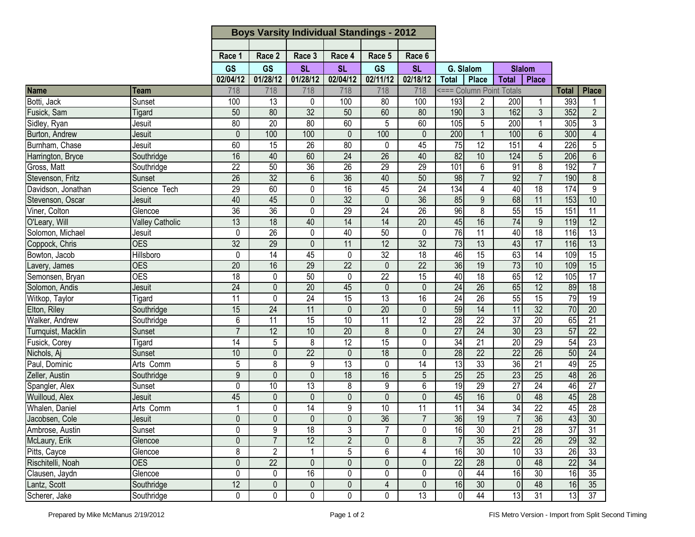| Race 6<br>Race 2<br>Race 3<br>Race 4<br>Race 5<br>Race 1<br><b>GS</b><br>GS<br><b>SL</b><br><b>SL</b><br><b>GS</b><br><b>SL</b><br>G. Slalom<br><b>Slalom</b><br>01/28/12<br>01/28/12<br>02/04/12<br>02/11/12<br>02/18/12<br><b>Total</b><br>02/04/12<br><b>Total</b><br><b>Place</b><br><b>Place</b><br>718<br>718<br>718<br>718<br>718<br>718<br><=== Column Point Totals<br><b>Place</b><br><b>Total</b><br>Team<br>Botti, Jack<br>193<br>13<br>100<br>80<br>393<br>Sunset<br>100<br>0<br>100<br>$\overline{2}$<br>200<br>-1<br>190<br>162<br>$\overline{32}$<br>60<br>3<br>3<br>352<br>$\overline{2}$<br>Fusick, Sam<br>50<br>80<br>50<br>80<br>Tigard<br>80<br>$\overline{20}$<br>60<br>5<br>105<br>5<br>200<br>305<br>3<br>Sidley, Ryan<br>80<br>60<br>$\overline{1}$<br>Jesuit<br>Burton, Andrew<br>$\overline{0}$<br>100<br>200<br>100<br>$6\phantom{1}$<br>300<br>$\overline{4}$<br>100<br>$\mathbf{0}$<br>100<br>0<br>$\mathbf{1}$<br>Jesuit<br>Burnham, Chase<br>80<br>$\overline{75}$<br>$\overline{12}$<br>151<br>226<br>5<br>60<br>15<br>45<br>4<br>26<br>0<br>Jesuit<br>82<br>Harrington, Bryce<br>16<br>40<br>60<br>$\overline{24}$<br>$\overline{26}$<br>40<br>10<br>124<br>$5\phantom{.0}$<br>206<br>$6\phantom{1}$<br>Southridge<br>29<br>$\overline{8}$<br>$\overline{7}$<br>$\overline{22}$<br>50<br>$\overline{36}$<br>$\overline{26}$<br>29<br>101<br>6<br>91<br>192<br>Southridge<br>$\overline{7}$<br>$\overline{26}$<br>$\overline{32}$<br>$\overline{36}$<br>40<br>50<br>98<br>$\overline{7}$<br>92<br>190<br>8<br>6<br>Sunset<br>18<br>$\overline{9}$<br>$\overline{29}$<br>60<br>45<br>$\overline{24}$<br>$\overline{134}$<br>4<br>40<br>174<br>0<br>16<br>Science Tech<br>32<br>36<br>68<br>10<br>40<br>45<br>$\mathbf 0$<br>85<br>9<br>11<br>$\mathbf 0$<br>153<br>Jesuit<br>36<br>96<br>55<br>$\overline{36}$<br>29<br>$\overline{24}$<br>$\overline{26}$<br>8<br>$\overline{15}$<br>151<br>$\overline{11}$<br>0<br>Glencoe<br>74<br>14<br>20<br>45<br>16<br>12<br>13<br>$\overline{18}$<br>40<br>$\overline{14}$<br>9<br>119<br><b>Valley Catholic</b><br>$\overline{76}$<br>$\overline{11}$<br>40<br>$\overline{18}$<br>$\overline{13}$<br>0<br>26<br>0<br>40<br>50<br>$\mathbf 0$<br>116<br>Jesuit<br>32<br>$\overline{12}$<br>$\overline{32}$<br>73<br>13<br>43<br>$\overline{17}$<br>13<br>Coppock, Chris<br><b>OES</b><br>29<br>$\mathbf{0}$<br>11<br>116<br>32<br>46<br>15<br>63<br>14<br>15<br>$\overline{14}$<br>45<br>$\overline{18}$<br>109<br>0<br>0<br>Hillsboro<br>36<br>73<br>16<br>22<br>22<br>19<br>10<br>15<br>Lavery, James<br><b>OES</b><br>20<br>29<br>$\mathbf 0$<br>109<br>$\overline{12}$<br>$\overline{17}$<br>Semonsen, Bryan<br><b>OES</b><br>18<br>22<br>15<br>40<br>18<br>65<br>105<br>$\mathbf{0}$<br>50<br>$\mathbf{0}$<br>Solomon, Andis<br>24<br>$\overline{26}$<br>65<br>12<br>18<br>$\overline{24}$<br>$\overline{20}$<br>45<br>89<br>0<br>$\mathbf{0}$<br>0<br>Jesuit<br>79<br>$\overline{11}$<br>$\overline{24}$<br>$\overline{15}$<br>$\overline{13}$<br>$\overline{24}$<br>$\overline{26}$<br>$\overline{55}$<br>$\overline{15}$<br>$\overline{19}$<br>0<br>16<br>Tigard<br>$\overline{20}$<br>59<br>11<br>$\overline{32}$<br>15<br>24<br>11<br>0<br>14<br>70<br>20<br>Elton, Riley<br>$\mathbf{0}$<br>Southridge<br>28<br>$\overline{6}$<br>11<br>10<br>11<br>12<br>$\overline{22}$<br>$\overline{37}$<br>20<br>$\overline{21}$<br>$\overline{15}$<br>65<br>Walker, Andrew<br>Southridge<br>23<br>$\overline{22}$<br>$\overline{7}$<br>12<br>10<br>$\overline{20}$<br>$\overline{27}$<br>$\overline{24}$<br>30<br>57<br>8<br>$\mathbf{0}$<br>Sunset<br>$\overline{12}$<br>$\overline{34}$<br>$\overline{20}$<br>29<br>$\overline{23}$<br>14<br>5<br>8<br>15<br>$\mathbf 0$<br>21<br>54<br>Fusick, Corey<br>Tigard<br>$\overline{22}$<br>$\overline{26}$<br>18<br>28<br>50<br>24<br>10<br>$\overline{22}$<br>$\overline{22}$<br>$\mathbf{0}$<br>$\mathbf 0$<br>0<br>Nichols, Aj<br>Sunset<br>36<br>33<br>21<br>5<br>9<br>$\overline{13}$<br>$\overline{3}$<br>$\overline{25}$<br>8<br>0<br>14<br>49<br>Paul, Dominic<br>Arts Comm<br>9<br>$\overline{23}$<br>18<br>16<br>5<br>25<br>25<br>25<br>Zeller, Austin<br>$\Omega$<br>$\mathbf 0$<br>26<br>Southridge<br>48<br>$\overline{9}$<br>19<br>29<br>$\overline{27}$<br>24<br>$\overline{27}$<br>0<br>10<br>13<br>8<br>6<br>Spangler, Alex<br>46<br>Sunset<br>Wuilloud, Alex<br>45<br>16<br>$\mathbf{0}$<br>$\mathbf{0}$<br>$\mathbf 0$<br>$\mathbf{0}$<br>0<br>45<br>$\Omega$<br>48<br>45<br>28<br>Jesuit<br>$\overline{22}$<br>Whalen, Daniel<br>$\overline{14}$<br>9<br>$\overline{11}$<br>$\overline{34}$<br>34<br>$\overline{28}$<br>$\mathbf{1}$<br>0<br>10<br>11<br>45<br>Arts Comm<br>$\overline{36}$<br>Jacobsen, Cole<br>36<br>36<br>19<br>$\overline{7}$<br>43<br>30<br>$\overline{0}$<br>$\overline{0}$<br>$\overline{0}$<br>$\overline{0}$<br>$\overline{7}$<br>Jesuit<br>21<br>$\overline{37}$<br>9<br>$\overline{7}$<br>16<br>30<br>$\overline{28}$<br>$\overline{31}$<br>Ambrose, Austin<br>0<br>18<br>3<br>0<br>Sunset<br>McLaury, Erik<br>$\mathbf 0$<br>$\overline{7}$<br>12<br>$\overline{2}$<br>35<br>$\overline{22}$<br>$\overline{26}$<br>$\mathbf 0$<br>8<br>29<br>32<br>Glencoe<br>8<br>6<br>16<br>Pitts, Cayce<br>$\overline{2}$<br>5<br>30<br>10<br>33<br>26<br>33<br>$\mathbf 1$<br>4<br>Glencoe<br>22<br>$\overline{22}$<br>$\overline{28}$<br>48<br>$\overline{22}$<br>34<br>Rischitelli, Noah<br><b>OES</b><br>0<br>$\mathbf 0$<br>$\mathbf 0$<br>$\mathbf 0$<br>$\mathbf{0}$<br> 0 <br>44<br>$\overline{35}$<br>0<br>0<br>16<br>0<br>0<br>16<br>30<br>16<br>0<br>$\overline{0}$<br>Clausen, Jaydn<br>Glencoe<br>12<br>$\overline{4}$<br>$\mathbf 0$<br>$\pmb{0}$<br>16<br>48<br>16<br>35<br>0<br>0<br>30<br>$\overline{0}$<br>Lantz, Scott<br>Southridge<br>37<br>44<br>0<br>$\mathbf 0$<br>0<br>0<br>0<br>13<br>$\overline{0}$<br>13<br>31<br>13<br>Scherer, Jake<br>Southridge |                    |  | <b>Boys Varsity Individual Standings - 2012</b> |  |  |  |  |  |  |  |  |
|-----------------------------------------------------------------------------------------------------------------------------------------------------------------------------------------------------------------------------------------------------------------------------------------------------------------------------------------------------------------------------------------------------------------------------------------------------------------------------------------------------------------------------------------------------------------------------------------------------------------------------------------------------------------------------------------------------------------------------------------------------------------------------------------------------------------------------------------------------------------------------------------------------------------------------------------------------------------------------------------------------------------------------------------------------------------------------------------------------------------------------------------------------------------------------------------------------------------------------------------------------------------------------------------------------------------------------------------------------------------------------------------------------------------------------------------------------------------------------------------------------------------------------------------------------------------------------------------------------------------------------------------------------------------------------------------------------------------------------------------------------------------------------------------------------------------------------------------------------------------------------------------------------------------------------------------------------------------------------------------------------------------------------------------------------------------------------------------------------------------------------------------------------------------------------------------------------------------------------------------------------------------------------------------------------------------------------------------------------------------------------------------------------------------------------------------------------------------------------------------------------------------------------------------------------------------------------------------------------------------------------------------------------------------------------------------------------------------------------------------------------------------------------------------------------------------------------------------------------------------------------------------------------------------------------------------------------------------------------------------------------------------------------------------------------------------------------------------------------------------------------------------------------------------------------------------------------------------------------------------------------------------------------------------------------------------------------------------------------------------------------------------------------------------------------------------------------------------------------------------------------------------------------------------------------------------------------------------------------------------------------------------------------------------------------------------------------------------------------------------------------------------------------------------------------------------------------------------------------------------------------------------------------------------------------------------------------------------------------------------------------------------------------------------------------------------------------------------------------------------------------------------------------------------------------------------------------------------------------------------------------------------------------------------------------------------------------------------------------------------------------------------------------------------------------------------------------------------------------------------------------------------------------------------------------------------------------------------------------------------------------------------------------------------------------------------------------------------------------------------------------------------------------------------------------------------------------------------------------------------------------------------------------------------------------------------------------------------------------------------------------------------------------------------------------------------------------------------------------------------------------------------------------------------------------------------------------------------------------------------------------------------------------------------------------------------------------------------------------------------------------------------------------------------------------------------------------------------------------------------------------------------------------------------------------------------------------------------------------------------------------------------------------------------------------------------------------------------------------------------------------------------------------------------------------------------------------------------------------------------------------------------------------------------------------------------|--------------------|--|-------------------------------------------------|--|--|--|--|--|--|--|--|
|                                                                                                                                                                                                                                                                                                                                                                                                                                                                                                                                                                                                                                                                                                                                                                                                                                                                                                                                                                                                                                                                                                                                                                                                                                                                                                                                                                                                                                                                                                                                                                                                                                                                                                                                                                                                                                                                                                                                                                                                                                                                                                                                                                                                                                                                                                                                                                                                                                                                                                                                                                                                                                                                                                                                                                                                                                                                                                                                                                                                                                                                                                                                                                                                                                                                                                                                                                                                                                                                                                                                                                                                                                                                                                                                                                                                                                                                                                                                                                                                                                                                                                                                                                                                                                                                                                                                                                                                                                                                                                                                                                                                                                                                                                                                                                                                                                                                                                                                                                                                                                                                                                                                                                                                                                                                                                                                                                                                                                                                                                                                                                                                                                                                                                                                                                                                                                                                                                                                         |                    |  |                                                 |  |  |  |  |  |  |  |  |
|                                                                                                                                                                                                                                                                                                                                                                                                                                                                                                                                                                                                                                                                                                                                                                                                                                                                                                                                                                                                                                                                                                                                                                                                                                                                                                                                                                                                                                                                                                                                                                                                                                                                                                                                                                                                                                                                                                                                                                                                                                                                                                                                                                                                                                                                                                                                                                                                                                                                                                                                                                                                                                                                                                                                                                                                                                                                                                                                                                                                                                                                                                                                                                                                                                                                                                                                                                                                                                                                                                                                                                                                                                                                                                                                                                                                                                                                                                                                                                                                                                                                                                                                                                                                                                                                                                                                                                                                                                                                                                                                                                                                                                                                                                                                                                                                                                                                                                                                                                                                                                                                                                                                                                                                                                                                                                                                                                                                                                                                                                                                                                                                                                                                                                                                                                                                                                                                                                                                         |                    |  |                                                 |  |  |  |  |  |  |  |  |
|                                                                                                                                                                                                                                                                                                                                                                                                                                                                                                                                                                                                                                                                                                                                                                                                                                                                                                                                                                                                                                                                                                                                                                                                                                                                                                                                                                                                                                                                                                                                                                                                                                                                                                                                                                                                                                                                                                                                                                                                                                                                                                                                                                                                                                                                                                                                                                                                                                                                                                                                                                                                                                                                                                                                                                                                                                                                                                                                                                                                                                                                                                                                                                                                                                                                                                                                                                                                                                                                                                                                                                                                                                                                                                                                                                                                                                                                                                                                                                                                                                                                                                                                                                                                                                                                                                                                                                                                                                                                                                                                                                                                                                                                                                                                                                                                                                                                                                                                                                                                                                                                                                                                                                                                                                                                                                                                                                                                                                                                                                                                                                                                                                                                                                                                                                                                                                                                                                                                         |                    |  |                                                 |  |  |  |  |  |  |  |  |
|                                                                                                                                                                                                                                                                                                                                                                                                                                                                                                                                                                                                                                                                                                                                                                                                                                                                                                                                                                                                                                                                                                                                                                                                                                                                                                                                                                                                                                                                                                                                                                                                                                                                                                                                                                                                                                                                                                                                                                                                                                                                                                                                                                                                                                                                                                                                                                                                                                                                                                                                                                                                                                                                                                                                                                                                                                                                                                                                                                                                                                                                                                                                                                                                                                                                                                                                                                                                                                                                                                                                                                                                                                                                                                                                                                                                                                                                                                                                                                                                                                                                                                                                                                                                                                                                                                                                                                                                                                                                                                                                                                                                                                                                                                                                                                                                                                                                                                                                                                                                                                                                                                                                                                                                                                                                                                                                                                                                                                                                                                                                                                                                                                                                                                                                                                                                                                                                                                                                         |                    |  |                                                 |  |  |  |  |  |  |  |  |
|                                                                                                                                                                                                                                                                                                                                                                                                                                                                                                                                                                                                                                                                                                                                                                                                                                                                                                                                                                                                                                                                                                                                                                                                                                                                                                                                                                                                                                                                                                                                                                                                                                                                                                                                                                                                                                                                                                                                                                                                                                                                                                                                                                                                                                                                                                                                                                                                                                                                                                                                                                                                                                                                                                                                                                                                                                                                                                                                                                                                                                                                                                                                                                                                                                                                                                                                                                                                                                                                                                                                                                                                                                                                                                                                                                                                                                                                                                                                                                                                                                                                                                                                                                                                                                                                                                                                                                                                                                                                                                                                                                                                                                                                                                                                                                                                                                                                                                                                                                                                                                                                                                                                                                                                                                                                                                                                                                                                                                                                                                                                                                                                                                                                                                                                                                                                                                                                                                                                         | Name               |  |                                                 |  |  |  |  |  |  |  |  |
|                                                                                                                                                                                                                                                                                                                                                                                                                                                                                                                                                                                                                                                                                                                                                                                                                                                                                                                                                                                                                                                                                                                                                                                                                                                                                                                                                                                                                                                                                                                                                                                                                                                                                                                                                                                                                                                                                                                                                                                                                                                                                                                                                                                                                                                                                                                                                                                                                                                                                                                                                                                                                                                                                                                                                                                                                                                                                                                                                                                                                                                                                                                                                                                                                                                                                                                                                                                                                                                                                                                                                                                                                                                                                                                                                                                                                                                                                                                                                                                                                                                                                                                                                                                                                                                                                                                                                                                                                                                                                                                                                                                                                                                                                                                                                                                                                                                                                                                                                                                                                                                                                                                                                                                                                                                                                                                                                                                                                                                                                                                                                                                                                                                                                                                                                                                                                                                                                                                                         |                    |  |                                                 |  |  |  |  |  |  |  |  |
|                                                                                                                                                                                                                                                                                                                                                                                                                                                                                                                                                                                                                                                                                                                                                                                                                                                                                                                                                                                                                                                                                                                                                                                                                                                                                                                                                                                                                                                                                                                                                                                                                                                                                                                                                                                                                                                                                                                                                                                                                                                                                                                                                                                                                                                                                                                                                                                                                                                                                                                                                                                                                                                                                                                                                                                                                                                                                                                                                                                                                                                                                                                                                                                                                                                                                                                                                                                                                                                                                                                                                                                                                                                                                                                                                                                                                                                                                                                                                                                                                                                                                                                                                                                                                                                                                                                                                                                                                                                                                                                                                                                                                                                                                                                                                                                                                                                                                                                                                                                                                                                                                                                                                                                                                                                                                                                                                                                                                                                                                                                                                                                                                                                                                                                                                                                                                                                                                                                                         |                    |  |                                                 |  |  |  |  |  |  |  |  |
|                                                                                                                                                                                                                                                                                                                                                                                                                                                                                                                                                                                                                                                                                                                                                                                                                                                                                                                                                                                                                                                                                                                                                                                                                                                                                                                                                                                                                                                                                                                                                                                                                                                                                                                                                                                                                                                                                                                                                                                                                                                                                                                                                                                                                                                                                                                                                                                                                                                                                                                                                                                                                                                                                                                                                                                                                                                                                                                                                                                                                                                                                                                                                                                                                                                                                                                                                                                                                                                                                                                                                                                                                                                                                                                                                                                                                                                                                                                                                                                                                                                                                                                                                                                                                                                                                                                                                                                                                                                                                                                                                                                                                                                                                                                                                                                                                                                                                                                                                                                                                                                                                                                                                                                                                                                                                                                                                                                                                                                                                                                                                                                                                                                                                                                                                                                                                                                                                                                                         |                    |  |                                                 |  |  |  |  |  |  |  |  |
|                                                                                                                                                                                                                                                                                                                                                                                                                                                                                                                                                                                                                                                                                                                                                                                                                                                                                                                                                                                                                                                                                                                                                                                                                                                                                                                                                                                                                                                                                                                                                                                                                                                                                                                                                                                                                                                                                                                                                                                                                                                                                                                                                                                                                                                                                                                                                                                                                                                                                                                                                                                                                                                                                                                                                                                                                                                                                                                                                                                                                                                                                                                                                                                                                                                                                                                                                                                                                                                                                                                                                                                                                                                                                                                                                                                                                                                                                                                                                                                                                                                                                                                                                                                                                                                                                                                                                                                                                                                                                                                                                                                                                                                                                                                                                                                                                                                                                                                                                                                                                                                                                                                                                                                                                                                                                                                                                                                                                                                                                                                                                                                                                                                                                                                                                                                                                                                                                                                                         |                    |  |                                                 |  |  |  |  |  |  |  |  |
|                                                                                                                                                                                                                                                                                                                                                                                                                                                                                                                                                                                                                                                                                                                                                                                                                                                                                                                                                                                                                                                                                                                                                                                                                                                                                                                                                                                                                                                                                                                                                                                                                                                                                                                                                                                                                                                                                                                                                                                                                                                                                                                                                                                                                                                                                                                                                                                                                                                                                                                                                                                                                                                                                                                                                                                                                                                                                                                                                                                                                                                                                                                                                                                                                                                                                                                                                                                                                                                                                                                                                                                                                                                                                                                                                                                                                                                                                                                                                                                                                                                                                                                                                                                                                                                                                                                                                                                                                                                                                                                                                                                                                                                                                                                                                                                                                                                                                                                                                                                                                                                                                                                                                                                                                                                                                                                                                                                                                                                                                                                                                                                                                                                                                                                                                                                                                                                                                                                                         |                    |  |                                                 |  |  |  |  |  |  |  |  |
|                                                                                                                                                                                                                                                                                                                                                                                                                                                                                                                                                                                                                                                                                                                                                                                                                                                                                                                                                                                                                                                                                                                                                                                                                                                                                                                                                                                                                                                                                                                                                                                                                                                                                                                                                                                                                                                                                                                                                                                                                                                                                                                                                                                                                                                                                                                                                                                                                                                                                                                                                                                                                                                                                                                                                                                                                                                                                                                                                                                                                                                                                                                                                                                                                                                                                                                                                                                                                                                                                                                                                                                                                                                                                                                                                                                                                                                                                                                                                                                                                                                                                                                                                                                                                                                                                                                                                                                                                                                                                                                                                                                                                                                                                                                                                                                                                                                                                                                                                                                                                                                                                                                                                                                                                                                                                                                                                                                                                                                                                                                                                                                                                                                                                                                                                                                                                                                                                                                                         |                    |  |                                                 |  |  |  |  |  |  |  |  |
|                                                                                                                                                                                                                                                                                                                                                                                                                                                                                                                                                                                                                                                                                                                                                                                                                                                                                                                                                                                                                                                                                                                                                                                                                                                                                                                                                                                                                                                                                                                                                                                                                                                                                                                                                                                                                                                                                                                                                                                                                                                                                                                                                                                                                                                                                                                                                                                                                                                                                                                                                                                                                                                                                                                                                                                                                                                                                                                                                                                                                                                                                                                                                                                                                                                                                                                                                                                                                                                                                                                                                                                                                                                                                                                                                                                                                                                                                                                                                                                                                                                                                                                                                                                                                                                                                                                                                                                                                                                                                                                                                                                                                                                                                                                                                                                                                                                                                                                                                                                                                                                                                                                                                                                                                                                                                                                                                                                                                                                                                                                                                                                                                                                                                                                                                                                                                                                                                                                                         | Gross, Matt        |  |                                                 |  |  |  |  |  |  |  |  |
|                                                                                                                                                                                                                                                                                                                                                                                                                                                                                                                                                                                                                                                                                                                                                                                                                                                                                                                                                                                                                                                                                                                                                                                                                                                                                                                                                                                                                                                                                                                                                                                                                                                                                                                                                                                                                                                                                                                                                                                                                                                                                                                                                                                                                                                                                                                                                                                                                                                                                                                                                                                                                                                                                                                                                                                                                                                                                                                                                                                                                                                                                                                                                                                                                                                                                                                                                                                                                                                                                                                                                                                                                                                                                                                                                                                                                                                                                                                                                                                                                                                                                                                                                                                                                                                                                                                                                                                                                                                                                                                                                                                                                                                                                                                                                                                                                                                                                                                                                                                                                                                                                                                                                                                                                                                                                                                                                                                                                                                                                                                                                                                                                                                                                                                                                                                                                                                                                                                                         | Stevenson, Fritz   |  |                                                 |  |  |  |  |  |  |  |  |
|                                                                                                                                                                                                                                                                                                                                                                                                                                                                                                                                                                                                                                                                                                                                                                                                                                                                                                                                                                                                                                                                                                                                                                                                                                                                                                                                                                                                                                                                                                                                                                                                                                                                                                                                                                                                                                                                                                                                                                                                                                                                                                                                                                                                                                                                                                                                                                                                                                                                                                                                                                                                                                                                                                                                                                                                                                                                                                                                                                                                                                                                                                                                                                                                                                                                                                                                                                                                                                                                                                                                                                                                                                                                                                                                                                                                                                                                                                                                                                                                                                                                                                                                                                                                                                                                                                                                                                                                                                                                                                                                                                                                                                                                                                                                                                                                                                                                                                                                                                                                                                                                                                                                                                                                                                                                                                                                                                                                                                                                                                                                                                                                                                                                                                                                                                                                                                                                                                                                         | Davidson, Jonathan |  |                                                 |  |  |  |  |  |  |  |  |
|                                                                                                                                                                                                                                                                                                                                                                                                                                                                                                                                                                                                                                                                                                                                                                                                                                                                                                                                                                                                                                                                                                                                                                                                                                                                                                                                                                                                                                                                                                                                                                                                                                                                                                                                                                                                                                                                                                                                                                                                                                                                                                                                                                                                                                                                                                                                                                                                                                                                                                                                                                                                                                                                                                                                                                                                                                                                                                                                                                                                                                                                                                                                                                                                                                                                                                                                                                                                                                                                                                                                                                                                                                                                                                                                                                                                                                                                                                                                                                                                                                                                                                                                                                                                                                                                                                                                                                                                                                                                                                                                                                                                                                                                                                                                                                                                                                                                                                                                                                                                                                                                                                                                                                                                                                                                                                                                                                                                                                                                                                                                                                                                                                                                                                                                                                                                                                                                                                                                         | Stevenson, Oscar   |  |                                                 |  |  |  |  |  |  |  |  |
|                                                                                                                                                                                                                                                                                                                                                                                                                                                                                                                                                                                                                                                                                                                                                                                                                                                                                                                                                                                                                                                                                                                                                                                                                                                                                                                                                                                                                                                                                                                                                                                                                                                                                                                                                                                                                                                                                                                                                                                                                                                                                                                                                                                                                                                                                                                                                                                                                                                                                                                                                                                                                                                                                                                                                                                                                                                                                                                                                                                                                                                                                                                                                                                                                                                                                                                                                                                                                                                                                                                                                                                                                                                                                                                                                                                                                                                                                                                                                                                                                                                                                                                                                                                                                                                                                                                                                                                                                                                                                                                                                                                                                                                                                                                                                                                                                                                                                                                                                                                                                                                                                                                                                                                                                                                                                                                                                                                                                                                                                                                                                                                                                                                                                                                                                                                                                                                                                                                                         | Viner, Colton      |  |                                                 |  |  |  |  |  |  |  |  |
|                                                                                                                                                                                                                                                                                                                                                                                                                                                                                                                                                                                                                                                                                                                                                                                                                                                                                                                                                                                                                                                                                                                                                                                                                                                                                                                                                                                                                                                                                                                                                                                                                                                                                                                                                                                                                                                                                                                                                                                                                                                                                                                                                                                                                                                                                                                                                                                                                                                                                                                                                                                                                                                                                                                                                                                                                                                                                                                                                                                                                                                                                                                                                                                                                                                                                                                                                                                                                                                                                                                                                                                                                                                                                                                                                                                                                                                                                                                                                                                                                                                                                                                                                                                                                                                                                                                                                                                                                                                                                                                                                                                                                                                                                                                                                                                                                                                                                                                                                                                                                                                                                                                                                                                                                                                                                                                                                                                                                                                                                                                                                                                                                                                                                                                                                                                                                                                                                                                                         | O'Leary, Will      |  |                                                 |  |  |  |  |  |  |  |  |
|                                                                                                                                                                                                                                                                                                                                                                                                                                                                                                                                                                                                                                                                                                                                                                                                                                                                                                                                                                                                                                                                                                                                                                                                                                                                                                                                                                                                                                                                                                                                                                                                                                                                                                                                                                                                                                                                                                                                                                                                                                                                                                                                                                                                                                                                                                                                                                                                                                                                                                                                                                                                                                                                                                                                                                                                                                                                                                                                                                                                                                                                                                                                                                                                                                                                                                                                                                                                                                                                                                                                                                                                                                                                                                                                                                                                                                                                                                                                                                                                                                                                                                                                                                                                                                                                                                                                                                                                                                                                                                                                                                                                                                                                                                                                                                                                                                                                                                                                                                                                                                                                                                                                                                                                                                                                                                                                                                                                                                                                                                                                                                                                                                                                                                                                                                                                                                                                                                                                         | Solomon, Michael   |  |                                                 |  |  |  |  |  |  |  |  |
|                                                                                                                                                                                                                                                                                                                                                                                                                                                                                                                                                                                                                                                                                                                                                                                                                                                                                                                                                                                                                                                                                                                                                                                                                                                                                                                                                                                                                                                                                                                                                                                                                                                                                                                                                                                                                                                                                                                                                                                                                                                                                                                                                                                                                                                                                                                                                                                                                                                                                                                                                                                                                                                                                                                                                                                                                                                                                                                                                                                                                                                                                                                                                                                                                                                                                                                                                                                                                                                                                                                                                                                                                                                                                                                                                                                                                                                                                                                                                                                                                                                                                                                                                                                                                                                                                                                                                                                                                                                                                                                                                                                                                                                                                                                                                                                                                                                                                                                                                                                                                                                                                                                                                                                                                                                                                                                                                                                                                                                                                                                                                                                                                                                                                                                                                                                                                                                                                                                                         |                    |  |                                                 |  |  |  |  |  |  |  |  |
|                                                                                                                                                                                                                                                                                                                                                                                                                                                                                                                                                                                                                                                                                                                                                                                                                                                                                                                                                                                                                                                                                                                                                                                                                                                                                                                                                                                                                                                                                                                                                                                                                                                                                                                                                                                                                                                                                                                                                                                                                                                                                                                                                                                                                                                                                                                                                                                                                                                                                                                                                                                                                                                                                                                                                                                                                                                                                                                                                                                                                                                                                                                                                                                                                                                                                                                                                                                                                                                                                                                                                                                                                                                                                                                                                                                                                                                                                                                                                                                                                                                                                                                                                                                                                                                                                                                                                                                                                                                                                                                                                                                                                                                                                                                                                                                                                                                                                                                                                                                                                                                                                                                                                                                                                                                                                                                                                                                                                                                                                                                                                                                                                                                                                                                                                                                                                                                                                                                                         | Bowton, Jacob      |  |                                                 |  |  |  |  |  |  |  |  |
|                                                                                                                                                                                                                                                                                                                                                                                                                                                                                                                                                                                                                                                                                                                                                                                                                                                                                                                                                                                                                                                                                                                                                                                                                                                                                                                                                                                                                                                                                                                                                                                                                                                                                                                                                                                                                                                                                                                                                                                                                                                                                                                                                                                                                                                                                                                                                                                                                                                                                                                                                                                                                                                                                                                                                                                                                                                                                                                                                                                                                                                                                                                                                                                                                                                                                                                                                                                                                                                                                                                                                                                                                                                                                                                                                                                                                                                                                                                                                                                                                                                                                                                                                                                                                                                                                                                                                                                                                                                                                                                                                                                                                                                                                                                                                                                                                                                                                                                                                                                                                                                                                                                                                                                                                                                                                                                                                                                                                                                                                                                                                                                                                                                                                                                                                                                                                                                                                                                                         |                    |  |                                                 |  |  |  |  |  |  |  |  |
|                                                                                                                                                                                                                                                                                                                                                                                                                                                                                                                                                                                                                                                                                                                                                                                                                                                                                                                                                                                                                                                                                                                                                                                                                                                                                                                                                                                                                                                                                                                                                                                                                                                                                                                                                                                                                                                                                                                                                                                                                                                                                                                                                                                                                                                                                                                                                                                                                                                                                                                                                                                                                                                                                                                                                                                                                                                                                                                                                                                                                                                                                                                                                                                                                                                                                                                                                                                                                                                                                                                                                                                                                                                                                                                                                                                                                                                                                                                                                                                                                                                                                                                                                                                                                                                                                                                                                                                                                                                                                                                                                                                                                                                                                                                                                                                                                                                                                                                                                                                                                                                                                                                                                                                                                                                                                                                                                                                                                                                                                                                                                                                                                                                                                                                                                                                                                                                                                                                                         |                    |  |                                                 |  |  |  |  |  |  |  |  |
|                                                                                                                                                                                                                                                                                                                                                                                                                                                                                                                                                                                                                                                                                                                                                                                                                                                                                                                                                                                                                                                                                                                                                                                                                                                                                                                                                                                                                                                                                                                                                                                                                                                                                                                                                                                                                                                                                                                                                                                                                                                                                                                                                                                                                                                                                                                                                                                                                                                                                                                                                                                                                                                                                                                                                                                                                                                                                                                                                                                                                                                                                                                                                                                                                                                                                                                                                                                                                                                                                                                                                                                                                                                                                                                                                                                                                                                                                                                                                                                                                                                                                                                                                                                                                                                                                                                                                                                                                                                                                                                                                                                                                                                                                                                                                                                                                                                                                                                                                                                                                                                                                                                                                                                                                                                                                                                                                                                                                                                                                                                                                                                                                                                                                                                                                                                                                                                                                                                                         |                    |  |                                                 |  |  |  |  |  |  |  |  |
|                                                                                                                                                                                                                                                                                                                                                                                                                                                                                                                                                                                                                                                                                                                                                                                                                                                                                                                                                                                                                                                                                                                                                                                                                                                                                                                                                                                                                                                                                                                                                                                                                                                                                                                                                                                                                                                                                                                                                                                                                                                                                                                                                                                                                                                                                                                                                                                                                                                                                                                                                                                                                                                                                                                                                                                                                                                                                                                                                                                                                                                                                                                                                                                                                                                                                                                                                                                                                                                                                                                                                                                                                                                                                                                                                                                                                                                                                                                                                                                                                                                                                                                                                                                                                                                                                                                                                                                                                                                                                                                                                                                                                                                                                                                                                                                                                                                                                                                                                                                                                                                                                                                                                                                                                                                                                                                                                                                                                                                                                                                                                                                                                                                                                                                                                                                                                                                                                                                                         | Witkop, Taylor     |  |                                                 |  |  |  |  |  |  |  |  |
|                                                                                                                                                                                                                                                                                                                                                                                                                                                                                                                                                                                                                                                                                                                                                                                                                                                                                                                                                                                                                                                                                                                                                                                                                                                                                                                                                                                                                                                                                                                                                                                                                                                                                                                                                                                                                                                                                                                                                                                                                                                                                                                                                                                                                                                                                                                                                                                                                                                                                                                                                                                                                                                                                                                                                                                                                                                                                                                                                                                                                                                                                                                                                                                                                                                                                                                                                                                                                                                                                                                                                                                                                                                                                                                                                                                                                                                                                                                                                                                                                                                                                                                                                                                                                                                                                                                                                                                                                                                                                                                                                                                                                                                                                                                                                                                                                                                                                                                                                                                                                                                                                                                                                                                                                                                                                                                                                                                                                                                                                                                                                                                                                                                                                                                                                                                                                                                                                                                                         |                    |  |                                                 |  |  |  |  |  |  |  |  |
|                                                                                                                                                                                                                                                                                                                                                                                                                                                                                                                                                                                                                                                                                                                                                                                                                                                                                                                                                                                                                                                                                                                                                                                                                                                                                                                                                                                                                                                                                                                                                                                                                                                                                                                                                                                                                                                                                                                                                                                                                                                                                                                                                                                                                                                                                                                                                                                                                                                                                                                                                                                                                                                                                                                                                                                                                                                                                                                                                                                                                                                                                                                                                                                                                                                                                                                                                                                                                                                                                                                                                                                                                                                                                                                                                                                                                                                                                                                                                                                                                                                                                                                                                                                                                                                                                                                                                                                                                                                                                                                                                                                                                                                                                                                                                                                                                                                                                                                                                                                                                                                                                                                                                                                                                                                                                                                                                                                                                                                                                                                                                                                                                                                                                                                                                                                                                                                                                                                                         |                    |  |                                                 |  |  |  |  |  |  |  |  |
|                                                                                                                                                                                                                                                                                                                                                                                                                                                                                                                                                                                                                                                                                                                                                                                                                                                                                                                                                                                                                                                                                                                                                                                                                                                                                                                                                                                                                                                                                                                                                                                                                                                                                                                                                                                                                                                                                                                                                                                                                                                                                                                                                                                                                                                                                                                                                                                                                                                                                                                                                                                                                                                                                                                                                                                                                                                                                                                                                                                                                                                                                                                                                                                                                                                                                                                                                                                                                                                                                                                                                                                                                                                                                                                                                                                                                                                                                                                                                                                                                                                                                                                                                                                                                                                                                                                                                                                                                                                                                                                                                                                                                                                                                                                                                                                                                                                                                                                                                                                                                                                                                                                                                                                                                                                                                                                                                                                                                                                                                                                                                                                                                                                                                                                                                                                                                                                                                                                                         | Turnquist, Macklin |  |                                                 |  |  |  |  |  |  |  |  |
|                                                                                                                                                                                                                                                                                                                                                                                                                                                                                                                                                                                                                                                                                                                                                                                                                                                                                                                                                                                                                                                                                                                                                                                                                                                                                                                                                                                                                                                                                                                                                                                                                                                                                                                                                                                                                                                                                                                                                                                                                                                                                                                                                                                                                                                                                                                                                                                                                                                                                                                                                                                                                                                                                                                                                                                                                                                                                                                                                                                                                                                                                                                                                                                                                                                                                                                                                                                                                                                                                                                                                                                                                                                                                                                                                                                                                                                                                                                                                                                                                                                                                                                                                                                                                                                                                                                                                                                                                                                                                                                                                                                                                                                                                                                                                                                                                                                                                                                                                                                                                                                                                                                                                                                                                                                                                                                                                                                                                                                                                                                                                                                                                                                                                                                                                                                                                                                                                                                                         |                    |  |                                                 |  |  |  |  |  |  |  |  |
|                                                                                                                                                                                                                                                                                                                                                                                                                                                                                                                                                                                                                                                                                                                                                                                                                                                                                                                                                                                                                                                                                                                                                                                                                                                                                                                                                                                                                                                                                                                                                                                                                                                                                                                                                                                                                                                                                                                                                                                                                                                                                                                                                                                                                                                                                                                                                                                                                                                                                                                                                                                                                                                                                                                                                                                                                                                                                                                                                                                                                                                                                                                                                                                                                                                                                                                                                                                                                                                                                                                                                                                                                                                                                                                                                                                                                                                                                                                                                                                                                                                                                                                                                                                                                                                                                                                                                                                                                                                                                                                                                                                                                                                                                                                                                                                                                                                                                                                                                                                                                                                                                                                                                                                                                                                                                                                                                                                                                                                                                                                                                                                                                                                                                                                                                                                                                                                                                                                                         |                    |  |                                                 |  |  |  |  |  |  |  |  |
|                                                                                                                                                                                                                                                                                                                                                                                                                                                                                                                                                                                                                                                                                                                                                                                                                                                                                                                                                                                                                                                                                                                                                                                                                                                                                                                                                                                                                                                                                                                                                                                                                                                                                                                                                                                                                                                                                                                                                                                                                                                                                                                                                                                                                                                                                                                                                                                                                                                                                                                                                                                                                                                                                                                                                                                                                                                                                                                                                                                                                                                                                                                                                                                                                                                                                                                                                                                                                                                                                                                                                                                                                                                                                                                                                                                                                                                                                                                                                                                                                                                                                                                                                                                                                                                                                                                                                                                                                                                                                                                                                                                                                                                                                                                                                                                                                                                                                                                                                                                                                                                                                                                                                                                                                                                                                                                                                                                                                                                                                                                                                                                                                                                                                                                                                                                                                                                                                                                                         |                    |  |                                                 |  |  |  |  |  |  |  |  |
|                                                                                                                                                                                                                                                                                                                                                                                                                                                                                                                                                                                                                                                                                                                                                                                                                                                                                                                                                                                                                                                                                                                                                                                                                                                                                                                                                                                                                                                                                                                                                                                                                                                                                                                                                                                                                                                                                                                                                                                                                                                                                                                                                                                                                                                                                                                                                                                                                                                                                                                                                                                                                                                                                                                                                                                                                                                                                                                                                                                                                                                                                                                                                                                                                                                                                                                                                                                                                                                                                                                                                                                                                                                                                                                                                                                                                                                                                                                                                                                                                                                                                                                                                                                                                                                                                                                                                                                                                                                                                                                                                                                                                                                                                                                                                                                                                                                                                                                                                                                                                                                                                                                                                                                                                                                                                                                                                                                                                                                                                                                                                                                                                                                                                                                                                                                                                                                                                                                                         |                    |  |                                                 |  |  |  |  |  |  |  |  |
|                                                                                                                                                                                                                                                                                                                                                                                                                                                                                                                                                                                                                                                                                                                                                                                                                                                                                                                                                                                                                                                                                                                                                                                                                                                                                                                                                                                                                                                                                                                                                                                                                                                                                                                                                                                                                                                                                                                                                                                                                                                                                                                                                                                                                                                                                                                                                                                                                                                                                                                                                                                                                                                                                                                                                                                                                                                                                                                                                                                                                                                                                                                                                                                                                                                                                                                                                                                                                                                                                                                                                                                                                                                                                                                                                                                                                                                                                                                                                                                                                                                                                                                                                                                                                                                                                                                                                                                                                                                                                                                                                                                                                                                                                                                                                                                                                                                                                                                                                                                                                                                                                                                                                                                                                                                                                                                                                                                                                                                                                                                                                                                                                                                                                                                                                                                                                                                                                                                                         |                    |  |                                                 |  |  |  |  |  |  |  |  |
|                                                                                                                                                                                                                                                                                                                                                                                                                                                                                                                                                                                                                                                                                                                                                                                                                                                                                                                                                                                                                                                                                                                                                                                                                                                                                                                                                                                                                                                                                                                                                                                                                                                                                                                                                                                                                                                                                                                                                                                                                                                                                                                                                                                                                                                                                                                                                                                                                                                                                                                                                                                                                                                                                                                                                                                                                                                                                                                                                                                                                                                                                                                                                                                                                                                                                                                                                                                                                                                                                                                                                                                                                                                                                                                                                                                                                                                                                                                                                                                                                                                                                                                                                                                                                                                                                                                                                                                                                                                                                                                                                                                                                                                                                                                                                                                                                                                                                                                                                                                                                                                                                                                                                                                                                                                                                                                                                                                                                                                                                                                                                                                                                                                                                                                                                                                                                                                                                                                                         |                    |  |                                                 |  |  |  |  |  |  |  |  |
|                                                                                                                                                                                                                                                                                                                                                                                                                                                                                                                                                                                                                                                                                                                                                                                                                                                                                                                                                                                                                                                                                                                                                                                                                                                                                                                                                                                                                                                                                                                                                                                                                                                                                                                                                                                                                                                                                                                                                                                                                                                                                                                                                                                                                                                                                                                                                                                                                                                                                                                                                                                                                                                                                                                                                                                                                                                                                                                                                                                                                                                                                                                                                                                                                                                                                                                                                                                                                                                                                                                                                                                                                                                                                                                                                                                                                                                                                                                                                                                                                                                                                                                                                                                                                                                                                                                                                                                                                                                                                                                                                                                                                                                                                                                                                                                                                                                                                                                                                                                                                                                                                                                                                                                                                                                                                                                                                                                                                                                                                                                                                                                                                                                                                                                                                                                                                                                                                                                                         |                    |  |                                                 |  |  |  |  |  |  |  |  |
|                                                                                                                                                                                                                                                                                                                                                                                                                                                                                                                                                                                                                                                                                                                                                                                                                                                                                                                                                                                                                                                                                                                                                                                                                                                                                                                                                                                                                                                                                                                                                                                                                                                                                                                                                                                                                                                                                                                                                                                                                                                                                                                                                                                                                                                                                                                                                                                                                                                                                                                                                                                                                                                                                                                                                                                                                                                                                                                                                                                                                                                                                                                                                                                                                                                                                                                                                                                                                                                                                                                                                                                                                                                                                                                                                                                                                                                                                                                                                                                                                                                                                                                                                                                                                                                                                                                                                                                                                                                                                                                                                                                                                                                                                                                                                                                                                                                                                                                                                                                                                                                                                                                                                                                                                                                                                                                                                                                                                                                                                                                                                                                                                                                                                                                                                                                                                                                                                                                                         |                    |  |                                                 |  |  |  |  |  |  |  |  |
|                                                                                                                                                                                                                                                                                                                                                                                                                                                                                                                                                                                                                                                                                                                                                                                                                                                                                                                                                                                                                                                                                                                                                                                                                                                                                                                                                                                                                                                                                                                                                                                                                                                                                                                                                                                                                                                                                                                                                                                                                                                                                                                                                                                                                                                                                                                                                                                                                                                                                                                                                                                                                                                                                                                                                                                                                                                                                                                                                                                                                                                                                                                                                                                                                                                                                                                                                                                                                                                                                                                                                                                                                                                                                                                                                                                                                                                                                                                                                                                                                                                                                                                                                                                                                                                                                                                                                                                                                                                                                                                                                                                                                                                                                                                                                                                                                                                                                                                                                                                                                                                                                                                                                                                                                                                                                                                                                                                                                                                                                                                                                                                                                                                                                                                                                                                                                                                                                                                                         |                    |  |                                                 |  |  |  |  |  |  |  |  |
|                                                                                                                                                                                                                                                                                                                                                                                                                                                                                                                                                                                                                                                                                                                                                                                                                                                                                                                                                                                                                                                                                                                                                                                                                                                                                                                                                                                                                                                                                                                                                                                                                                                                                                                                                                                                                                                                                                                                                                                                                                                                                                                                                                                                                                                                                                                                                                                                                                                                                                                                                                                                                                                                                                                                                                                                                                                                                                                                                                                                                                                                                                                                                                                                                                                                                                                                                                                                                                                                                                                                                                                                                                                                                                                                                                                                                                                                                                                                                                                                                                                                                                                                                                                                                                                                                                                                                                                                                                                                                                                                                                                                                                                                                                                                                                                                                                                                                                                                                                                                                                                                                                                                                                                                                                                                                                                                                                                                                                                                                                                                                                                                                                                                                                                                                                                                                                                                                                                                         |                    |  |                                                 |  |  |  |  |  |  |  |  |
|                                                                                                                                                                                                                                                                                                                                                                                                                                                                                                                                                                                                                                                                                                                                                                                                                                                                                                                                                                                                                                                                                                                                                                                                                                                                                                                                                                                                                                                                                                                                                                                                                                                                                                                                                                                                                                                                                                                                                                                                                                                                                                                                                                                                                                                                                                                                                                                                                                                                                                                                                                                                                                                                                                                                                                                                                                                                                                                                                                                                                                                                                                                                                                                                                                                                                                                                                                                                                                                                                                                                                                                                                                                                                                                                                                                                                                                                                                                                                                                                                                                                                                                                                                                                                                                                                                                                                                                                                                                                                                                                                                                                                                                                                                                                                                                                                                                                                                                                                                                                                                                                                                                                                                                                                                                                                                                                                                                                                                                                                                                                                                                                                                                                                                                                                                                                                                                                                                                                         |                    |  |                                                 |  |  |  |  |  |  |  |  |
|                                                                                                                                                                                                                                                                                                                                                                                                                                                                                                                                                                                                                                                                                                                                                                                                                                                                                                                                                                                                                                                                                                                                                                                                                                                                                                                                                                                                                                                                                                                                                                                                                                                                                                                                                                                                                                                                                                                                                                                                                                                                                                                                                                                                                                                                                                                                                                                                                                                                                                                                                                                                                                                                                                                                                                                                                                                                                                                                                                                                                                                                                                                                                                                                                                                                                                                                                                                                                                                                                                                                                                                                                                                                                                                                                                                                                                                                                                                                                                                                                                                                                                                                                                                                                                                                                                                                                                                                                                                                                                                                                                                                                                                                                                                                                                                                                                                                                                                                                                                                                                                                                                                                                                                                                                                                                                                                                                                                                                                                                                                                                                                                                                                                                                                                                                                                                                                                                                                                         |                    |  |                                                 |  |  |  |  |  |  |  |  |
|                                                                                                                                                                                                                                                                                                                                                                                                                                                                                                                                                                                                                                                                                                                                                                                                                                                                                                                                                                                                                                                                                                                                                                                                                                                                                                                                                                                                                                                                                                                                                                                                                                                                                                                                                                                                                                                                                                                                                                                                                                                                                                                                                                                                                                                                                                                                                                                                                                                                                                                                                                                                                                                                                                                                                                                                                                                                                                                                                                                                                                                                                                                                                                                                                                                                                                                                                                                                                                                                                                                                                                                                                                                                                                                                                                                                                                                                                                                                                                                                                                                                                                                                                                                                                                                                                                                                                                                                                                                                                                                                                                                                                                                                                                                                                                                                                                                                                                                                                                                                                                                                                                                                                                                                                                                                                                                                                                                                                                                                                                                                                                                                                                                                                                                                                                                                                                                                                                                                         |                    |  |                                                 |  |  |  |  |  |  |  |  |
|                                                                                                                                                                                                                                                                                                                                                                                                                                                                                                                                                                                                                                                                                                                                                                                                                                                                                                                                                                                                                                                                                                                                                                                                                                                                                                                                                                                                                                                                                                                                                                                                                                                                                                                                                                                                                                                                                                                                                                                                                                                                                                                                                                                                                                                                                                                                                                                                                                                                                                                                                                                                                                                                                                                                                                                                                                                                                                                                                                                                                                                                                                                                                                                                                                                                                                                                                                                                                                                                                                                                                                                                                                                                                                                                                                                                                                                                                                                                                                                                                                                                                                                                                                                                                                                                                                                                                                                                                                                                                                                                                                                                                                                                                                                                                                                                                                                                                                                                                                                                                                                                                                                                                                                                                                                                                                                                                                                                                                                                                                                                                                                                                                                                                                                                                                                                                                                                                                                                         |                    |  |                                                 |  |  |  |  |  |  |  |  |
|                                                                                                                                                                                                                                                                                                                                                                                                                                                                                                                                                                                                                                                                                                                                                                                                                                                                                                                                                                                                                                                                                                                                                                                                                                                                                                                                                                                                                                                                                                                                                                                                                                                                                                                                                                                                                                                                                                                                                                                                                                                                                                                                                                                                                                                                                                                                                                                                                                                                                                                                                                                                                                                                                                                                                                                                                                                                                                                                                                                                                                                                                                                                                                                                                                                                                                                                                                                                                                                                                                                                                                                                                                                                                                                                                                                                                                                                                                                                                                                                                                                                                                                                                                                                                                                                                                                                                                                                                                                                                                                                                                                                                                                                                                                                                                                                                                                                                                                                                                                                                                                                                                                                                                                                                                                                                                                                                                                                                                                                                                                                                                                                                                                                                                                                                                                                                                                                                                                                         |                    |  |                                                 |  |  |  |  |  |  |  |  |